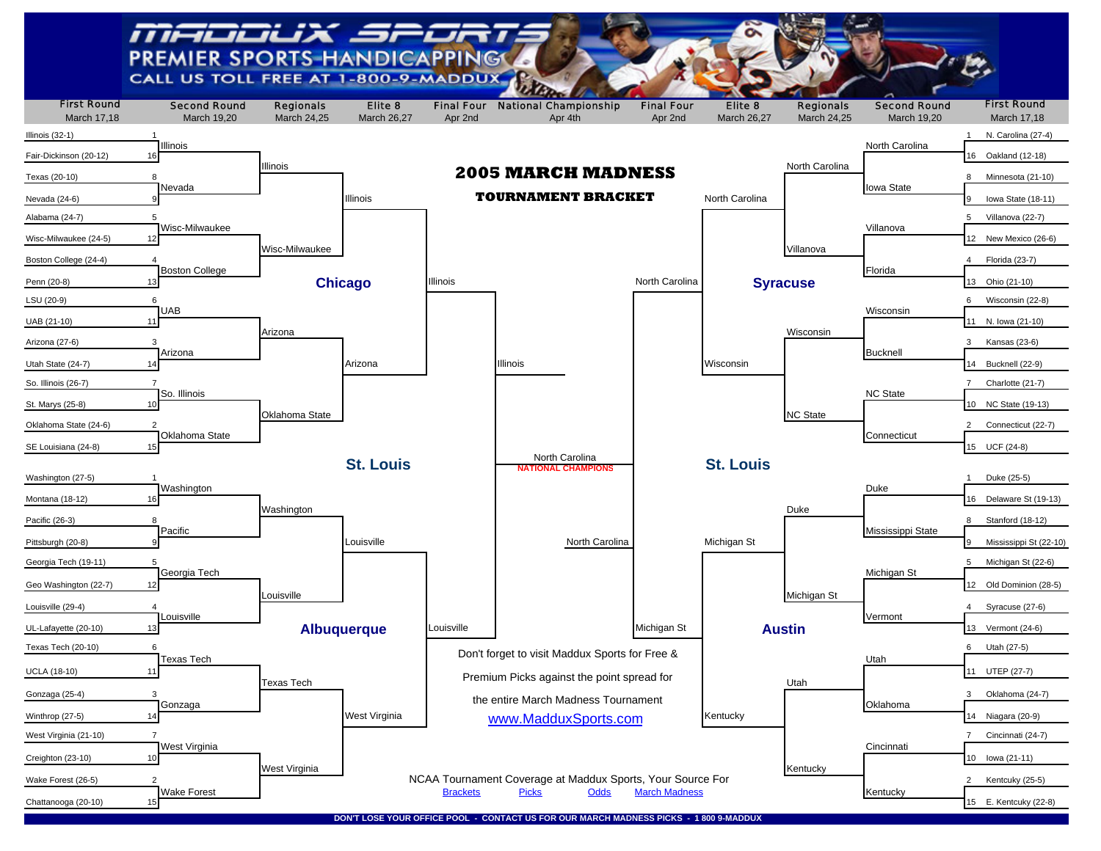